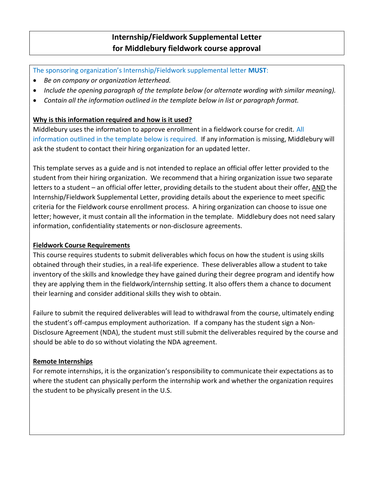# Internship/Fieldwork Supplemental Letter for Middlebury fieldwork course approval

The sponsoring organization's Internship/Fieldwork supplemental letter MUST:

- Be on company or organization letterhead.
- Include the opening paragraph of the template below (or alternate wording with similar meaning).
- Contain all the information outlined in the template below in list or paragraph format.

### Why is this information required and how is it used?

Middlebury uses the information to approve enrollment in a fieldwork course for credit. All information outlined in the template below is required. If any information is missing, Middlebury will ask the student to contact their hiring organization for an updated letter.

This template serves as a guide and is not intended to replace an official offer letter provided to the student from their hiring organization. We recommend that a hiring organization issue two separate letters to a student – an official offer letter, providing details to the student about their offer, AND the Internship/Fieldwork Supplemental Letter, providing details about the experience to meet specific criteria for the Fieldwork course enrollment process. A hiring organization can choose to issue one letter; however, it must contain all the information in the template. Middlebury does not need salary information, confidentiality statements or non-disclosure agreements.

#### Fieldwork Course Requirements

This course requires students to submit deliverables which focus on how the student is using skills obtained through their studies, in a real-life experience. These deliverables allow a student to take inventory of the skills and knowledge they have gained during their degree program and identify how they are applying them in the fieldwork/internship setting. It also offers them a chance to document their learning and consider additional skills they wish to obtain.

Failure to submit the required deliverables will lead to withdrawal from the course, ultimately ending the student's off-campus employment authorization. If a company has the student sign a Non-Disclosure Agreement (NDA), the student must still submit the deliverables required by the course and should be able to do so without violating the NDA agreement.

### Remote Internships

For remote internships, it is the organization's responsibility to communicate their expectations as to where the student can physically perform the internship work and whether the organization requires the student to be physically present in the U.S.